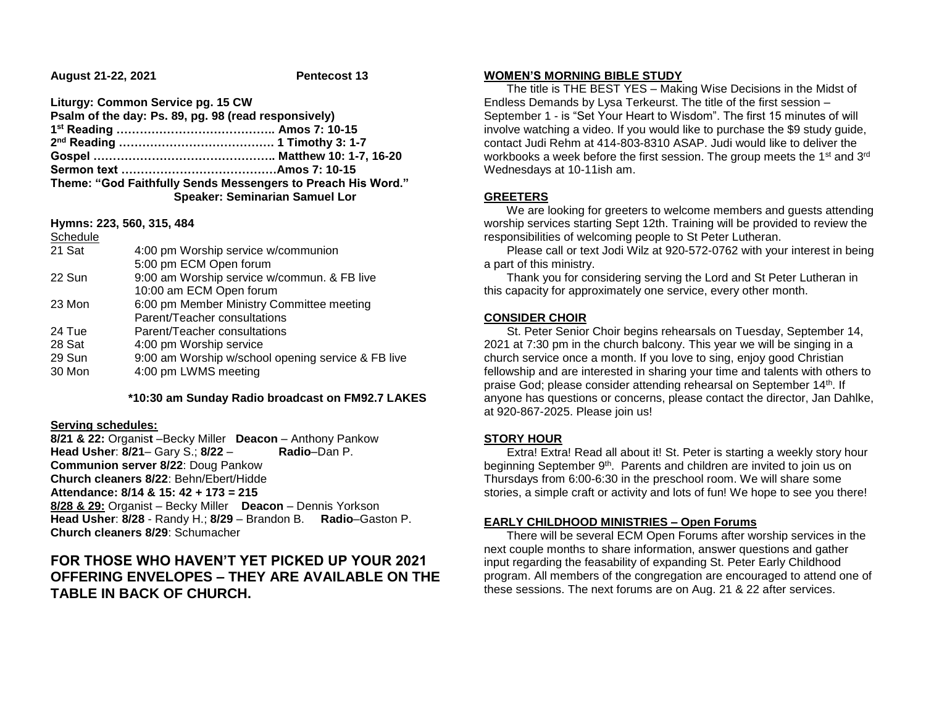**August 21-22, 2021 Pentecost 13**

| Liturgy: Common Service pg. 15 CW                    |                                                              |
|------------------------------------------------------|--------------------------------------------------------------|
| Psalm of the day: Ps. 89, pg. 98 (read responsively) |                                                              |
|                                                      |                                                              |
|                                                      |                                                              |
|                                                      |                                                              |
|                                                      |                                                              |
|                                                      | Theme: "God Faithfully Sends Messengers to Preach His Word." |
|                                                      | <b>Speaker: Seminarian Samuel Lor</b>                        |

**Hymns: 223, 560, 315, 484** Schedule

| <b>Schedule</b> |                                                    |
|-----------------|----------------------------------------------------|
| 21 Sat          | 4:00 pm Worship service w/communion                |
|                 | 5:00 pm ECM Open forum                             |
| 22 Sun          | 9:00 am Worship service w/commun. & FB live        |
|                 | 10:00 am ECM Open forum                            |
| 23 Mon          | 6:00 pm Member Ministry Committee meeting          |
|                 | Parent/Teacher consultations                       |
| 24 Tue          | Parent/Teacher consultations                       |
| 28 Sat          | 4:00 pm Worship service                            |
| 29 Sun          | 9:00 am Worship w/school opening service & FB live |
| 30 Mon          | 4:00 pm LWMS meeting                               |

 **\*10:30 am Sunday Radio broadcast on FM92.7 LAKES**

#### **Serving schedules:**

**8/21 & 22:** Organis**t** –Becky Miller **Deacon** – Anthony Pankow **Head Usher**: **8/21**– Gary S.; **8/22** – **Radio**–Dan P. **Communion server 8/22**: Doug Pankow **Church cleaners 8/22**: Behn/Ebert/Hidde **Attendance: 8/14 & 15: 42 + 173 = 215 8/28 & 29:** Organist – Becky Miller **Deacon** – Dennis Yorkson **Head Usher**: **8/28** - Randy H.; **8/29** – Brandon B. **Radio**–Gaston P. **Church cleaners 8/29**: Schumacher

# **FOR THOSE WHO HAVEN'T YET PICKED UP YOUR 2021 OFFERING ENVELOPES – THEY ARE AVAILABLE ON THE TABLE IN BACK OF CHURCH.**

#### **WOMEN'S MORNING BIBLE STUDY**

 The title is THE BEST YES – Making Wise Decisions in the Midst of Endless Demands by Lysa Terkeurst. The title of the first session – September 1 - is "Set Your Heart to Wisdom". The first 15 minutes of will involve watching a video. If you would like to purchase the \$9 study guide, contact Judi Rehm at 414-803-8310 ASAP. Judi would like to deliver the workbooks a week before the first session. The group meets the 1<sup>st</sup> and 3<sup>rd</sup> Wednesdays at 10-11ish am.

# **GREETERS**

 We are looking for greeters to welcome members and guests attending worship services starting Sept 12th. Training will be provided to review the responsibilities of welcoming people to St Peter Lutheran.

 Please call or text Jodi Wilz at 920-572-0762 with your interest in being a part of this ministry.

 Thank you for considering serving the Lord and St Peter Lutheran in this capacity for approximately one service, every other month.

# **CONSIDER CHOIR**

 St. Peter Senior Choir begins rehearsals on Tuesday, September 14, 2021 at 7:30 pm in the church balcony. This year we will be singing in a church service once a month. If you love to sing, enjoy good Christian fellowship and are interested in sharing your time and talents with others to praise God; please consider attending rehearsal on September 14th. If anyone has questions or concerns, please contact the director, Jan Dahlke, at 920-867-2025. Please join us!

# **STORY HOUR**

 Extra! Extra! Read all about it! St. Peter is starting a weekly story hour beginning September 9<sup>th</sup>. Parents and children are invited to join us on Thursdays from 6:00-6:30 in the preschool room. We will share some stories, a simple craft or activity and lots of fun! We hope to see you there!

# **EARLY CHILDHOOD MINISTRIES – Open Forums**

 There will be several ECM Open Forums after worship services in the next couple months to share information, answer questions and gather input regarding the feasability of expanding St. Peter Early Childhood program. All members of the congregation are encouraged to attend one of these sessions. The next forums are on Aug. 21 & 22 after services.